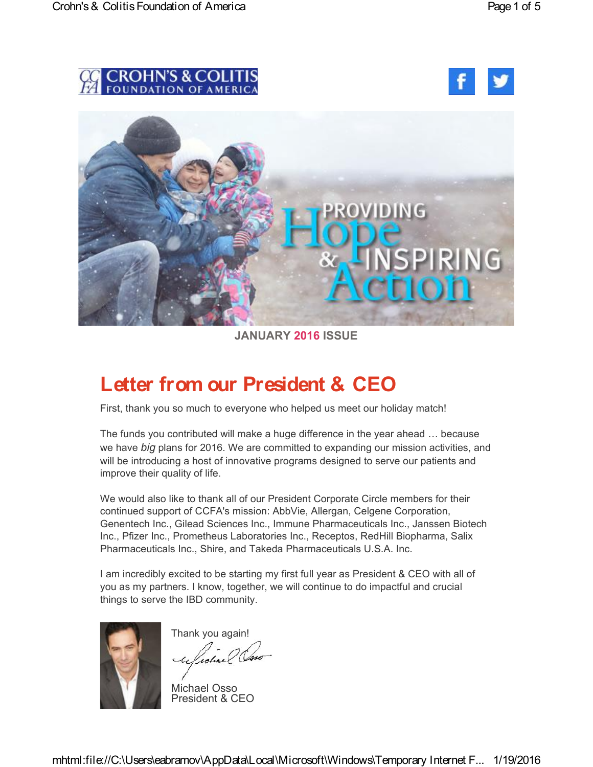

**JANUARY 2016 ISSUE**

## **Letter from our President & CEO**

First, thank you so much to everyone who helped us meet our holiday match!

The funds you contributed will make a huge difference in the year ahead … because we have *big* plans for 2016. We are committed to expanding our mission activities, and will be introducing a host of innovative programs designed to serve our patients and improve their quality of life.

We would also like to thank all of our President Corporate Circle members for their continued support of CCFA's mission: AbbVie, Allergan, Celgene Corporation, Genentech Inc., Gilead Sciences Inc., Immune Pharmaceuticals Inc., Janssen Biotech Inc., Pfizer Inc., Prometheus Laboratories Inc., Receptos, RedHill Biopharma, Salix Pharmaceuticals Inc., Shire, and Takeda Pharmaceuticals U.S.A. Inc.

I am incredibly excited to be starting my first full year as President & CEO with all of you as my partners. I know, together, we will continue to do impactful and crucial things to serve the IBD community.



Thank you again!

Michael Osso President & CEO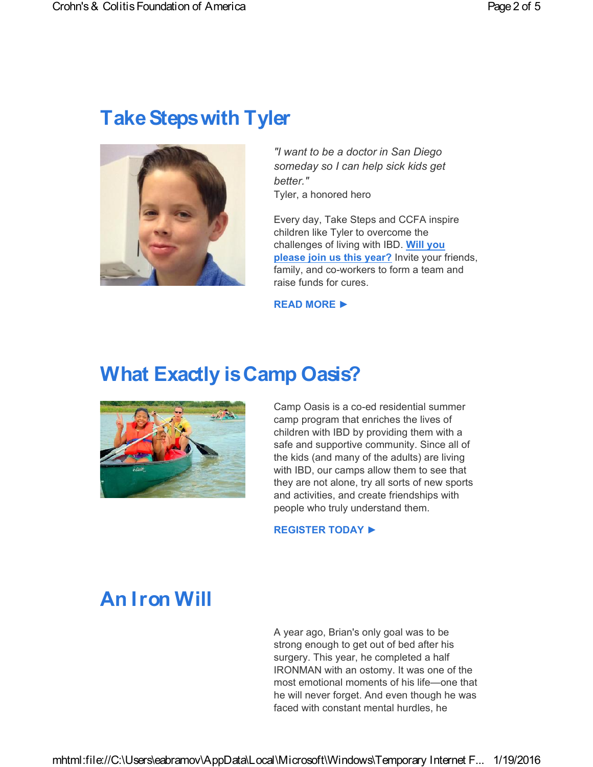## **Take Steps with Tyler**



*"I want to be a doctor in San Diego someday so I can help sick kids get better."*

Tyler, a honored hero

Every day, Take Steps and CCFA inspire children like Tyler to overcome the challenges of living with IBD. **Will you please join us this year?** Invite your friends, family, and co-workers to form a team and raise funds for cures.

**READ MORE ►**

## **What Exactly is Camp Oasis?**



Camp Oasis is a co-ed residential summer camp program that enriches the lives of children with IBD by providing them with a safe and supportive community. Since all of the kids (and many of the adults) are living with IBD, our camps allow them to see that they are not alone, try all sorts of new sports and activities, and create friendships with people who truly understand them.

**REGISTER TODAY ►**

#### **An Iron Will**

A year ago, Brian's only goal was to be strong enough to get out of bed after his surgery. This year, he completed a half IRONMAN with an ostomy. It was one of the most emotional moments of his life—one that he will never forget. And even though he was faced with constant mental hurdles, he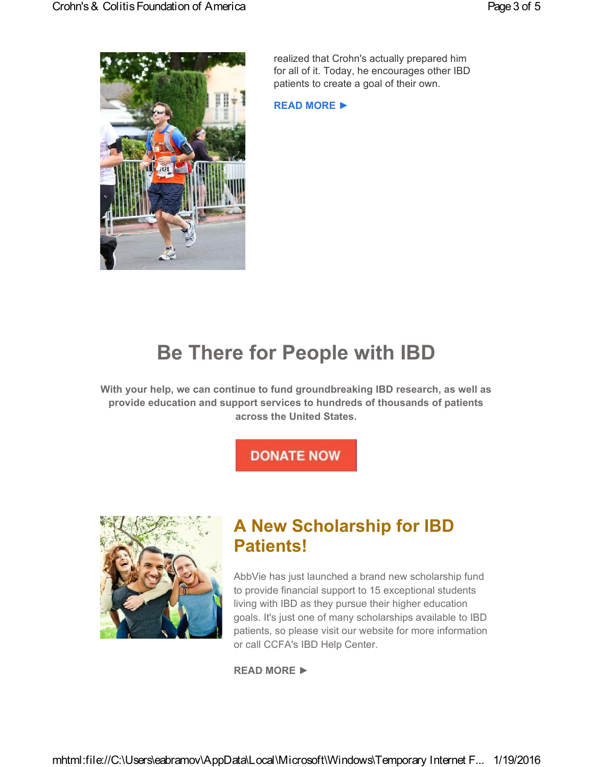

realized that Crohn's actually prepared him for all of it. Today, he encourages other IBD patients to create a goal of their own.

**READ MORE ►**

# **Be There for People with IBD**

**With your help, we can continue to fund groundbreaking IBD research, as well as provide education and support services to hundreds of thousands of patients across the United States.**

#### **DONATE NOW**



#### **A New Scholarship for IBD Patients!**

AbbVie has just launched a brand new scholarship fund to provide financial support to 15 exceptional students living with IBD as they pursue their higher education goals. It's just one of many scholarships available to IBD patients, so please visit our website for more information or call CCFA's IBD Help Center.

**READ MORE ►**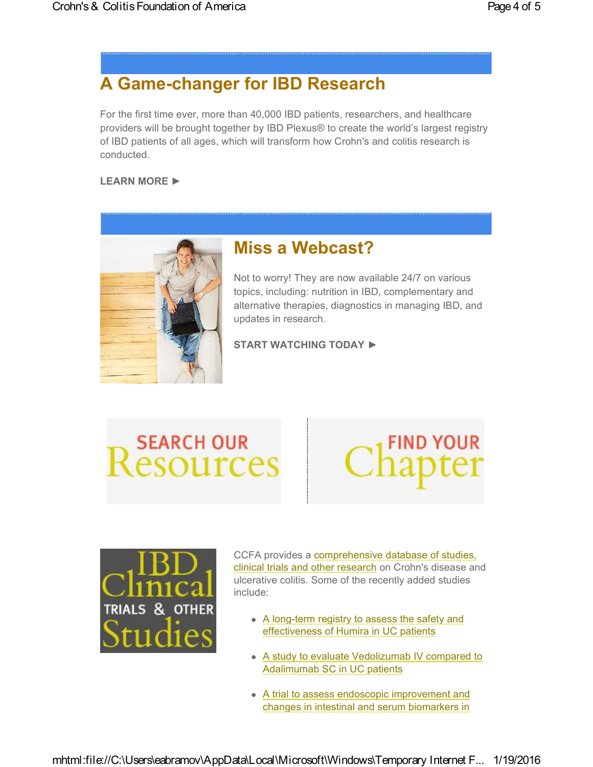## **A Game-changer for IBD Research**

For the first time ever, more than 40,000 IBD patients, researchers, and healthcare providers will be brought together by IBD Plexus® to create the world's largest registry of IBD patients of all ages, which will transform how Crohn's and colitis research is conducted.

#### **LEARN MORE ►**



#### **Miss a Webcast?**

Not to worry! They are now available 24/7 on various topics, including: nutrition in IBD, complementary and alternative therapies, diagnostics in managing IBD, and updates in research.

**START WATCHING TODAY ►**

# SEARCH OUR<br>CSOUTCCS





CCFA provides a comprehensive database of studies, clinical trials and other research on Crohn's disease and ulcerative colitis. Some of the recently added studies include:

- A long-term registry to assess the safety and effectiveness of Humira in UC patients
- A study to evaluate Vedolizumab IV compared to Adalimumab SC in UC patients
- A trial to assess endoscopic improvement and changes in intestinal and serum biomarkers in